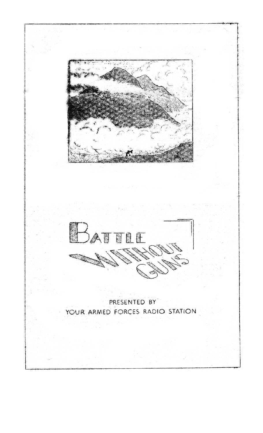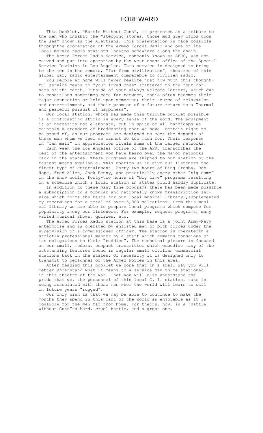This booklet, "Battle Without Guns", is presented as a tribute to the men who inhabit the "stepping stones, those mud gray blobs upon the sea" known as the Aleutians. This presentation is made possible throughthe cooperation of the Armed Forces Radio and one of its local morale radio stations located somewhere along the chain.

 The Armed Forces Radio Service, commonly known as AFRS, was conceived and put into operation by the west coast office of the Special Service Division in Los Angeles. This service is designed to bring to the men in the remote, "far from civilization", theatres of this global war, radio entertainment comparable to civilian radio.

 You people at home will never realize just how much this thoughtful service means to "your loved ones" scattered to the four corners of the earth. Outside of your always welcome letters, which due to conditions sometimes come far between, radio often becomes their major connection or hold upon memories; their source of relaxation and entertainment, and their promise of a future return to a "normal and peaceful pursuit of happiness".

 Our local station, which has made this tribute booklet possible is a broadcasting studio in every sense of the word. The equipment is of necessity not elaborate, but in spite of all handicaps we maintain a standard of bradcasting that we have certain right to be proud of, as our programs are designed to meet the demands of these men whom we feel we cannot do too much for. Their response in "fan mail" in appreciation rivals some of the larger networks.

 Each week the Los Angeles office of the AFRS transcribes the best of the entertainment you have heard over the major networks back in the states. These programs are shipped to our station by the fastest means available. This enables us to give our listeners the finest type of entertainment. Forty-two hours of Bing Crosby, Bob Hope, Fred Allen, Jack Benny, and practically every other "big name" in the show world. Forty-two hours of "big time" programs resulting in a schedule which a local station in states could hardly duplicate.

 In addition to these many fine programs there has been made possible a subscription to a popular and nationally known transcription service which forms the basis for our local musical library,,supplemented by recordings for a total of over 5,000 selections. From this musical library we are able to prepare local programs which compete for popularity among our listeners. For example, request programs, many varied musical shows, quizzes, etc.

 The Armed Forces Radio station at this base is a joint Army-Navy enterprise and is operated by enlisted men of both forces under the supervision of a commissioned officer. The station is operatedin a strictly professional manner by a staff which remains conscious of its obligations to their "buddies". The technical picture is focused on our small, modern, compact transmitter which embodies many of the outstanding features found in regular small civilian commercial stations back in the states. Of necessity it is designed only to transmit to personnel of the Armed Forces in this area.

 After reading this booklet we hope that in a small way you will better understand what it means to a service man to be stationed in this theatre of the war. That you will also understand the pride that we, the personnel of this local G. I. station, take in being associated with these men whom the world will learn to call in future years "rugged".

 Our only wish is that we may be able to continue to make the months they spend in this part of the world as enjoyable as it is possible for the men far from home. For theirs, now, is a "Battle without Guns"—a hard, cruel battle, and a great one.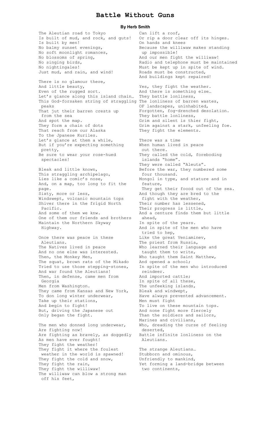## **Battle Without Guns**

**By Herb Smith** 

The Aleutian road to Tokyo Is built of mud, and rock, and guts! Is built by men! No balmy sunset evenings, No soft moonlight romances, No blossoms of spring, No singing birds, No nightingales! Just mud, and rain, and wind! There is no glamour there, And little beauty, Even of the rugged sort. Let's glance along this island chain… They battle lonliness, This God-forsaken string of straggling The lonliness of barren wastes, peaks That jut their barren crests up from the sea And spot the map. They form a chain of dots That reach from our Alaska To the Jpanese Kuriles. Let's glance at them a while, But if you're expecting something pretty, Be sure to wear your rose-hued spectacles! Bleak and little known, This straggling archipelago, Lies like a comic's nose, And, on a map, too long to fit the page. Sixty, more or less, Windswept, volcanic mountain tops Shiver there in the frigid North Pacific. And some of them we knw. One of them our friends and brothers Maintain the Northern Skyway Highway. Once there was peace in these Aleutians. The Natives lived in peace And no one else was interested. Then, the Monkey Men, The squat, brown rats of the Mikado Tried to use those stepping-stones, And war found the Aleutians! Then, in defense, came men from Georgia Men from Washington. They came from Kansas and New York, To don long winter underwear, Take up their stations, And begin to fight! But, driving the Japanese out Only began the fight. The men who donned long underwear, Are fighting now! Are fighting as bravely, as doggedly As men have ever fought! They fight the weather! They fight it where the foulest weather in the world is spawned! They fight the cold and snow, They fight the rain, They fight the williwaw! The williwaw can blow a strong man off his feet,

Can lift a roof, Or rip a door clear off its hinges. On hands and knees Because the williwaw makes standing up impossible! And our men fight the williwaw! Radio and telephone must be maintained Must be kept up in spite of wind. Roads must be constructed, And buildings kept repaired! Yes, they fight the weather. And there is something else… OF landscapes, uninhabited, Forgotten, fog-drenched desolation. They battle lonliness, Grim and silent is thier fight, Grim against a stark, unfeeling foe. They fight the elements. There was a time When human lived in peace out there. They called the cold, foreboding islands "home". They were called "Aleuts". Before the war, they numbered some four thousand. Mongol in type, and stature and in feature, They get their foood out of the sea. And though they are bred to the fight with the weather, Their number has lessened, Their progress is little, And a centure finds them but little ahead, In spite of the years. And in spite of the men who have tried to hep, Like the great Veniaminev, The priest from Russia, Who learned their language and taught them to write, Who taught them Saint Matthew, And opened a school; In spite of the men who introduced reindeer. And imported cattle; In spite of all these, The unfeeking islands, Bleak and windwept, Have always prevented advancement. Men must fight To live on these mountain tops. And none fight more fiercely Than the soldiers and sailors, Marines and civilians, Who, dreading the curse of feeling deserted, Battle infinite lonliness on the Aleutians. The strange Aleutians… Stubborn and ominous, Unfriendly to mankind, Yet forming a land-bridge between two continents,